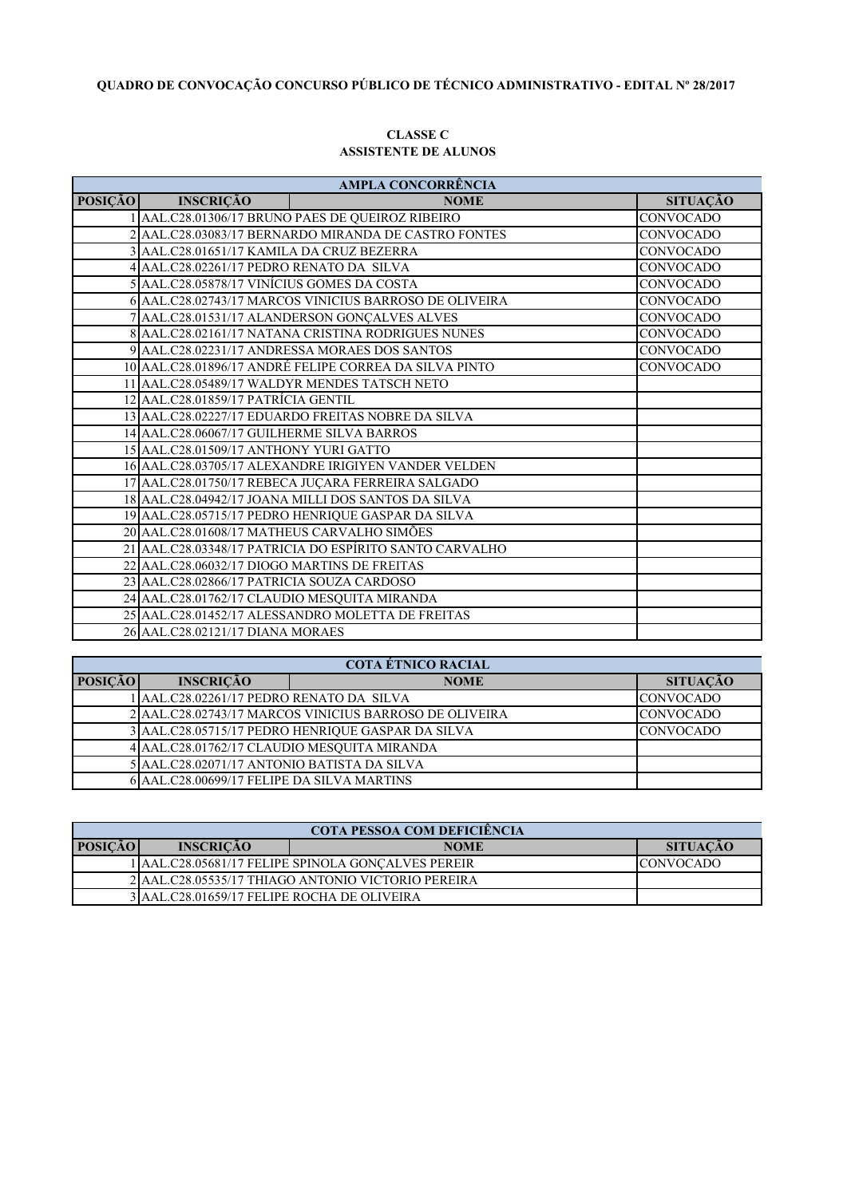# **QUADRO DE CONVOCAÇÃO CONCURSO PÚBLICO DE TÉCNICO ADMINISTRATIVO - EDITAL Nº 28/2017**

#### **CLASSE C ASSISTENTE DE ALUNOS**

| <b>AMPLA CONCORRÊNCIA</b> |                                              |                                                         |                  |  |
|---------------------------|----------------------------------------------|---------------------------------------------------------|------------------|--|
| <b>POSIÇÃO</b>            | <b>INSCRIÇÃO</b>                             | <b>NOME</b>                                             | <b>SITUAÇÃO</b>  |  |
|                           |                                              | 1 AAL.C28.01306/17 BRUNO PAES DE QUEIROZ RIBEIRO        | <b>CONVOCADO</b> |  |
|                           |                                              | 2 AAL.C28.03083/17 BERNARDO MIRANDA DE CASTRO FONTES    | <b>CONVOCADO</b> |  |
|                           | 3 AAL.C28.01651/17 KAMILA DA CRUZ BEZERRA    |                                                         | CONVOCADO        |  |
|                           | 4 AAL.C28.02261/17 PEDRO RENATO DA SILVA     |                                                         | <b>CONVOCADO</b> |  |
|                           | 5 AAL.C28.05878/17 VINÍCIUS GOMES DA COSTA   |                                                         | <b>CONVOCADO</b> |  |
|                           |                                              | 6 AAL.C28.02743/17 MARCOS VINICIUS BARROSO DE OLIVEIRA  | CONVOCADO        |  |
|                           |                                              | 7 AAL.C28.01531/17 ALANDERSON GONÇALVES ALVES           | <b>CONVOCADO</b> |  |
|                           |                                              | 8 AAL.C28.02161/17 NATANA CRISTINA RODRIGUES NUNES      | <b>CONVOCADO</b> |  |
|                           |                                              | 9 AAL.C28.02231/17 ANDRESSA MORAES DOS SANTOS           | <b>CONVOCADO</b> |  |
|                           |                                              | 10 AAL.C28.01896/17 ANDRÉ FELIPE CORREA DA SILVA PINTO  | <b>CONVOCADO</b> |  |
|                           |                                              | 11 AAL.C28.05489/17 WALDYR MENDES TATSCH NETO           |                  |  |
|                           | 12 AAL.C28.01859/17 PATRÍCIA GENTIL          |                                                         |                  |  |
|                           |                                              | 13 AAL.C28.02227/17 EDUARDO FREITAS NOBRE DA SILVA      |                  |  |
|                           | 14 AAL.C28.06067/17 GUILHERME SILVA BARROS   |                                                         |                  |  |
|                           | 15 AAL.C28.01509/17 ANTHONY YURI GATTO       |                                                         |                  |  |
|                           |                                              | 16 AAL.C28.03705/17 ALEXANDRE IRIGIYEN VANDER VELDEN    |                  |  |
|                           |                                              | 17 AAL.C28.01750/17 REBECA JUÇARA FERREIRA SALGADO      |                  |  |
|                           |                                              | 18 AAL.C28.04942/17 JOANA MILLI DOS SANTOS DA SILVA     |                  |  |
|                           |                                              | 19 AAL.C28.05715/17 PEDRO HENRIQUE GASPAR DA SILVA      |                  |  |
|                           | 20 AAL.C28.01608/17 MATHEUS CARVALHO SIMÕES  |                                                         |                  |  |
|                           |                                              | 21 AAL.C28.03348/17 PATRICIA DO ESPÍRITO SANTO CARVALHO |                  |  |
|                           | 22 AAL.C28.06032/17 DIOGO MARTINS DE FREITAS |                                                         |                  |  |
|                           | 23 AAL.C28.02866/17 PATRICIA SOUZA CARDOSO   |                                                         |                  |  |
|                           | 24 AAL.C28.01762/17 CLAUDIO MESQUITA MIRANDA |                                                         |                  |  |
|                           |                                              | 25 AAL.C28.01452/17 ALESSANDRO MOLETTA DE FREITAS       |                  |  |
|                           | 26 AAL.C28.02121/17 DIANA MORAES             |                                                         |                  |  |

| <b>COTA ÉTNICO RACIAL</b> |                                                                            |             |                  |  |
|---------------------------|----------------------------------------------------------------------------|-------------|------------------|--|
| <b>POSICÃO</b>            | <b>INSCRIÇÃO</b>                                                           | <b>NOME</b> | <b>SITUAÇÃO</b>  |  |
|                           | AAL.C28.02261/17 PEDRO RENATO DA SILVA                                     |             | <b>CONVOCADO</b> |  |
|                           | 2 AAL.C28.02743/17 MARCOS VINICIUS BARROSO DE OLIVEIRA<br><b>CONVOCADO</b> |             |                  |  |
|                           | 3 AAL.C28.05715/17 PEDRO HENRIQUE GASPAR DA SILVA<br><b>CONVOCADO</b>      |             |                  |  |
|                           | 4 AAL.C28.01762/17 CLAUDIO MESQUITA MIRANDA                                |             |                  |  |
|                           | 5 AAL.C28.02071/17 ANTONIO BATISTA DA SILVA                                |             |                  |  |
|                           | 6 AAL.C28.00699/17 FELIPE DA SILVA MARTINS                                 |             |                  |  |

| <b>COTA PESSOA COM DEFICIÊNCIA</b> |                                                    |                                                    |                  |  |
|------------------------------------|----------------------------------------------------|----------------------------------------------------|------------------|--|
| <b>POSICÃO</b>                     | <b>INSCRICÃO</b>                                   | <b>NOME</b>                                        | <b>SITUACÃO</b>  |  |
|                                    |                                                    | llaal.C28.05681/17 FELIPE SPINOLA GONCALVES PEREIR | <b>CONVOCADO</b> |  |
|                                    | 2 AAL.C28.05535/17 THIAGO ANTONIO VICTORIO PEREIRA |                                                    |                  |  |
|                                    | 3 AAL.C28.01659/17 FELIPE ROCHA DE OLIVEIRA        |                                                    |                  |  |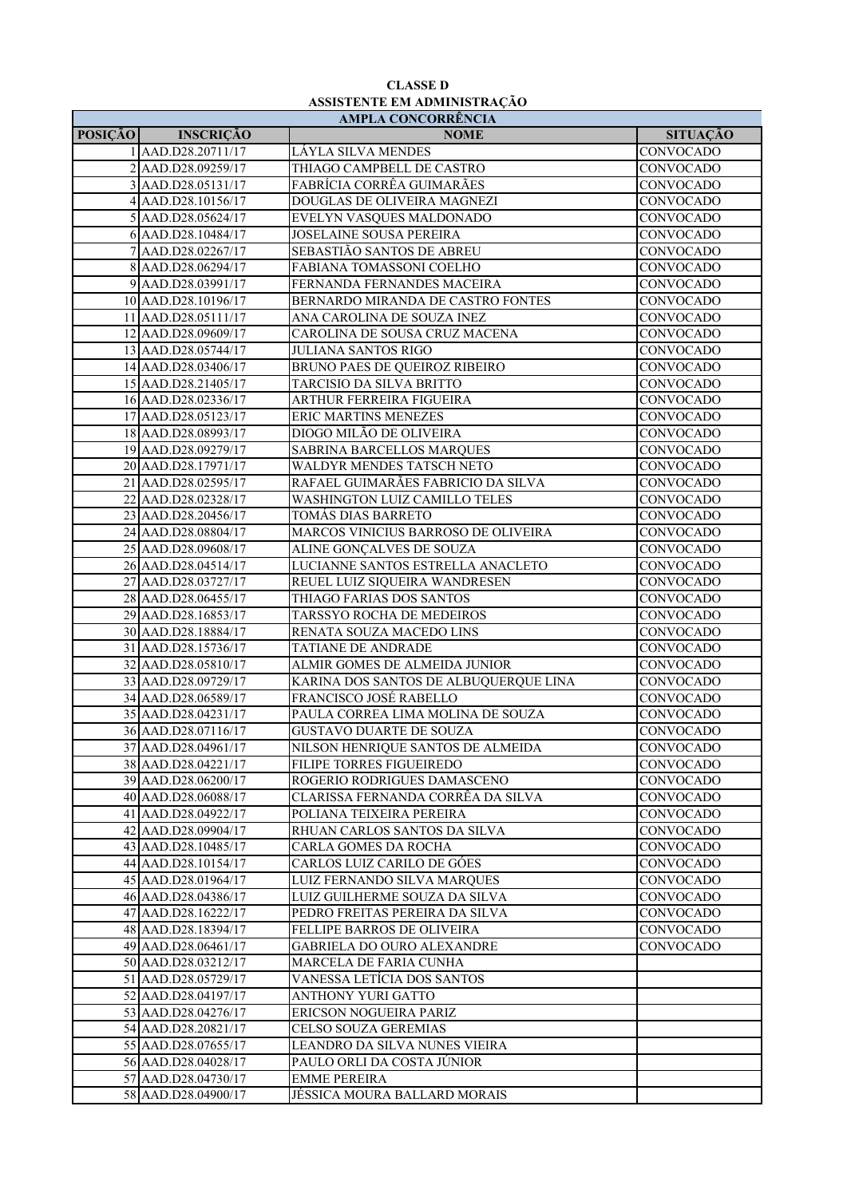# **ASSISTENTE EM ADMINISTRAÇÃO CLASSE D**

| <b>AMPLA CONCORRÊNCIA</b> |                     |                                       |                  |  |
|---------------------------|---------------------|---------------------------------------|------------------|--|
| <b>POSIÇÃO</b>            | <b>INSCRIÇÃO</b>    | <b>NOME</b>                           | <b>SITUAÇÃO</b>  |  |
|                           | 1 AAD.D28.20711/17  | LÁYLA SILVA MENDES                    | <b>CONVOCADO</b> |  |
|                           | 2 AAD.D28.09259/17  | THIAGO CAMPBELL DE CASTRO             | CONVOCADO        |  |
|                           | 3 AAD.D28.05131/17  | FABRÍCIA CORRÊA GUIMARÃES             | CONVOCADO        |  |
|                           | 4 AAD.D28.10156/17  | DOUGLAS DE OLIVEIRA MAGNEZI           | <b>CONVOCADO</b> |  |
|                           | 5 AAD.D28.05624/17  | EVELYN VASQUES MALDONADO              | CONVOCADO        |  |
|                           | 6 AAD.D28.10484/17  | JOSELAINE SOUSA PEREIRA               | CONVOCADO        |  |
|                           | 7 AAD.D28.02267/17  | SEBASTIÃO SANTOS DE ABREU             | CONVOCADO        |  |
|                           | 8 AAD.D28.06294/17  | FABIANA TOMASSONI COELHO              | <b>CONVOCADO</b> |  |
|                           | 9 AAD.D28.03991/17  | FERNANDA FERNANDES MACEIRA            | CONVOCADO        |  |
|                           | 10 AAD.D28.10196/17 | BERNARDO MIRANDA DE CASTRO FONTES     | <b>CONVOCADO</b> |  |
|                           | 11 AAD.D28.05111/17 | ANA CAROLINA DE SOUZA INEZ            | <b>CONVOCADO</b> |  |
|                           | 12 AAD.D28.09609/17 | CAROLINA DE SOUSA CRUZ MACENA         | CONVOCADO        |  |
|                           | 13 AAD.D28.05744/17 | <b>JULIANA SANTOS RIGO</b>            | CONVOCADO        |  |
|                           | 14 AAD.D28.03406/17 | BRUNO PAES DE QUEIROZ RIBEIRO         | CONVOCADO        |  |
|                           | 15 AAD.D28.21405/17 | TARCISIO DA SILVA BRITTO              | CONVOCADO        |  |
|                           | 16 AAD.D28.02336/17 | ARTHUR FERREIRA FIGUEIRA              | CONVOCADO        |  |
|                           | 17 AAD.D28.05123/17 | <b>ERIC MARTINS MENEZES</b>           | CONVOCADO        |  |
|                           | 18 AAD.D28.08993/17 | DIOGO MILÃO DE OLIVEIRA               | CONVOCADO        |  |
|                           | 19 AAD.D28.09279/17 | SABRINA BARCELLOS MARQUES             | CONVOCADO        |  |
|                           | 20 AAD.D28.17971/17 | WALDYR MENDES TATSCH NETO             | <b>CONVOCADO</b> |  |
|                           | 21 AAD.D28.02595/17 | RAFAEL GUIMARÃES FABRICIO DA SILVA    | <b>CONVOCADO</b> |  |
|                           | 22 AAD.D28.02328/17 | WASHINGTON LUIZ CAMILLO TELES         | CONVOCADO        |  |
|                           | 23 AAD.D28.20456/17 | TOMÁS DIAS BARRETO                    | CONVOCADO        |  |
|                           | 24 AAD.D28.08804/17 | MARCOS VINICIUS BARROSO DE OLIVEIRA   | CONVOCADO        |  |
|                           | 25 AAD.D28.09608/17 | ALINE GONÇALVES DE SOUZA              | CONVOCADO        |  |
|                           | 26 AAD.D28.04514/17 | LUCIANNE SANTOS ESTRELLA ANACLETO     | CONVOCADO        |  |
|                           | 27 AAD.D28.03727/17 | REUEL LUIZ SIQUEIRA WANDRESEN         | CONVOCADO        |  |
|                           | 28 AAD.D28.06455/17 | THIAGO FARIAS DOS SANTOS              | <b>CONVOCADO</b> |  |
|                           | 29 AAD.D28.16853/17 | TARSSYO ROCHA DE MEDEIROS             | <b>CONVOCADO</b> |  |
|                           | 30 AAD.D28.18884/17 | RENATA SOUZA MACEDO LINS              | <b>CONVOCADO</b> |  |
|                           | 31 AAD.D28.15736/17 | TATIANE DE ANDRADE                    | CONVOCADO        |  |
|                           | 32 AAD.D28.05810/17 | ALMIR GOMES DE ALMEIDA JUNIOR         | CONVOCADO        |  |
|                           | 33 AAD.D28.09729/17 | KARINA DOS SANTOS DE ALBUQUERQUE LINA | CONVOCADO        |  |
|                           | 34 AAD.D28.06589/17 | FRANCISCO JOSÉ RABELLO                | CONVOCADO        |  |
|                           | 35 AAD.D28.04231/17 | PAULA CORREA LIMA MOLINA DE SOUZA     | CONVOCADO        |  |
|                           | 36 AAD.D28.07116/17 | <b>GUSTAVO DUARTE DE SOUZA</b>        | CONVOCADO        |  |
|                           | 37 AAD.D28.04961/17 | NILSON HENRIQUE SANTOS DE ALMEIDA     | CONVOCADO        |  |
|                           | 38 AAD.D28.04221/17 | FILIPE TORRES FIGUEIREDO              | CONVOCADO        |  |
|                           | 39 AAD.D28.06200/17 | ROGERIO RODRIGUES DAMASCENO           | <b>CONVOCADO</b> |  |
|                           | 40 AAD.D28.06088/17 | CLARISSA FERNANDA CORRÊA DA SILVA     | CONVOCADO        |  |
|                           | 41 AAD.D28.04922/17 | POLIANA TEIXEIRA PEREIRA              | CONVOCADO        |  |
|                           | 42 AAD.D28.09904/17 | RHUAN CARLOS SANTOS DA SILVA          | CONVOCADO        |  |
|                           | 43 AAD.D28.10485/17 | CARLA GOMES DA ROCHA                  | CONVOCADO        |  |
|                           | 44 AAD.D28.10154/17 | CARLOS LUIZ CARILO DE GÓES            | <b>CONVOCADO</b> |  |
|                           | 45 AAD.D28.01964/17 | LUIZ FERNANDO SILVA MARQUES           | <b>CONVOCADO</b> |  |
|                           | 46 AAD.D28.04386/17 | LUIZ GUILHERME SOUZA DA SILVA         | CONVOCADO        |  |
|                           | 47 AAD.D28.16222/17 | PEDRO FREITAS PEREIRA DA SILVA        | <b>CONVOCADO</b> |  |
|                           | 48 AAD.D28.18394/17 | FELLIPE BARROS DE OLIVEIRA            | <b>CONVOCADO</b> |  |
|                           | 49 AAD.D28.06461/17 | <b>GABRIELA DO OURO ALEXANDRE</b>     | CONVOCADO        |  |
|                           | 50 AAD.D28.03212/17 | MARCELA DE FARIA CUNHA                |                  |  |
|                           | 51 AAD.D28.05729/17 | VANESSA LETÍCIA DOS SANTOS            |                  |  |
|                           | 52 AAD.D28.04197/17 | ANTHONY YURI GATTO                    |                  |  |
|                           | 53 AAD.D28.04276/17 | ERICSON NOGUEIRA PARIZ                |                  |  |
|                           | 54 AAD.D28.20821/17 | CELSO SOUZA GEREMIAS                  |                  |  |
|                           | 55 AAD.D28.07655/17 | LEANDRO DA SILVA NUNES VIEIRA         |                  |  |
|                           | 56 AAD.D28.04028/17 | PAULO ORLI DA COSTA JÚNIOR            |                  |  |
|                           | 57 AAD.D28.04730/17 | <b>EMME PEREIRA</b>                   |                  |  |
|                           | 58 AAD.D28.04900/17 | JÉSSICA MOURA BALLARD MORAIS          |                  |  |
|                           |                     |                                       |                  |  |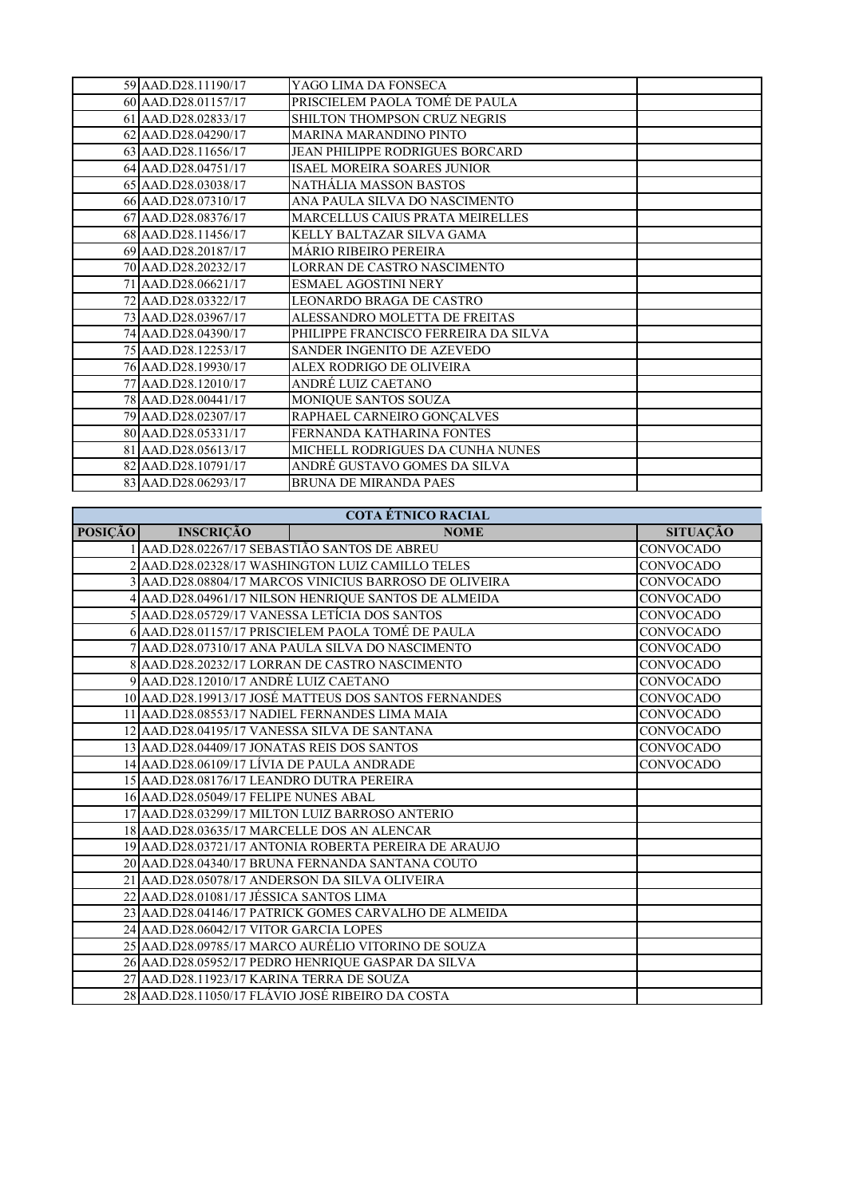| 59 AAD.D28.11190/17 | YAGO LIMA DA FONSECA                   |  |
|---------------------|----------------------------------------|--|
| 60 AAD.D28.01157/17 | PRISCIELEM PAOLA TOMÉ DE PAULA         |  |
| 61 AAD.D28.02833/17 | SHILTON THOMPSON CRUZ NEGRIS           |  |
| 62 AAD.D28.04290/17 | <b>MARINA MARANDINO PINTO</b>          |  |
| 63 AAD.D28.11656/17 | <b>JEAN PHILIPPE RODRIGUES BORCARD</b> |  |
| 64 AAD.D28.04751/17 | ISAEL MOREIRA SOARES JUNIOR            |  |
| 65 AAD.D28.03038/17 | NATHÁLIA MASSON BASTOS                 |  |
| 66 AAD.D28.07310/17 | ANA PAULA SILVA DO NASCIMENTO          |  |
| 67 AAD.D28.08376/17 | <b>MARCELLUS CAIUS PRATA MEIRELLES</b> |  |
| 68 AAD.D28.11456/17 | KELLY BALTAZAR SILVA GAMA              |  |
| 69 AAD.D28.20187/17 | <b>MÁRIO RIBEIRO PEREIRA</b>           |  |
| 70 AAD.D28.20232/17 | LORRAN DE CASTRO NASCIMENTO            |  |
| 71 AAD.D28.06621/17 | <b>ESMAEL AGOSTINI NERY</b>            |  |
| 72 AAD.D28.03322/17 | LEONARDO BRAGA DE CASTRO               |  |
| 73 AAD.D28.03967/17 | ALESSANDRO MOLETTA DE FREITAS          |  |
| 74 AAD.D28.04390/17 | PHILIPPE FRANCISCO FERREIRA DA SILVA   |  |
| 75 AAD.D28.12253/17 | SANDER INGENITO DE AZEVEDO             |  |
| 76 AAD.D28.19930/17 | ALEX RODRIGO DE OLIVEIRA               |  |
| 77 AAD.D28.12010/17 | ANDRÉ LUIZ CAETANO                     |  |
| 78 AAD.D28.00441/17 | MONIQUE SANTOS SOUZA                   |  |
| 79 AAD.D28.02307/17 | RAPHAEL CARNEIRO GONÇALVES             |  |
| 80 AAD.D28.05331/17 | FERNANDA KATHARINA FONTES              |  |
| 81 AAD.D28.05613/17 | MICHELL RODRIGUES DA CUNHA NUNES       |  |
| 82 AAD.D28.10791/17 | ANDRÉ GUSTAVO GOMES DA SILVA           |  |
| 83 AAD.D28.06293/17 | <b>BRUNA DE MIRANDA PAES</b>           |  |
|                     |                                        |  |

|  | <b>COTA ÉTNICO RACIAL</b> |
|--|---------------------------|
|  |                           |

| <b>POSIÇÃO</b> | <b>INSCRIÇÃO</b>                             | <b>NOME</b>                                            | <b>SITUAÇÃO</b>  |
|----------------|----------------------------------------------|--------------------------------------------------------|------------------|
|                | 1 AAD.D28.02267/17 SEBASTIÃO SANTOS DE ABREU |                                                        | <b>CONVOCADO</b> |
|                |                                              | 2 AAD.D28.02328/17 WASHINGTON LUIZ CAMILLO TELES       | <b>CONVOCADO</b> |
|                |                                              | 3 AAD.D28.08804/17 MARCOS VINICIUS BARROSO DE OLIVEIRA | CONVOCADO        |
|                |                                              | 4 AAD.D28.04961/17 NILSON HENRIQUE SANTOS DE ALMEIDA   | <b>CONVOCADO</b> |
|                |                                              | 5 AAD.D28.05729/17 VANESSA LETÍCIA DOS SANTOS          | <b>CONVOCADO</b> |
|                |                                              | 6 AAD.D28.01157/17 PRISCIELEM PAOLA TOMÉ DE PAULA      | <b>CONVOCADO</b> |
|                |                                              | 7 AAD.D28.07310/17 ANA PAULA SILVA DO NASCIMENTO       | <b>CONVOCADO</b> |
|                |                                              | 8 AAD.D28.20232/17 LORRAN DE CASTRO NASCIMENTO         | <b>CONVOCADO</b> |
|                | 9 AAD.D28.12010/17 ANDRÉ LUIZ CAETANO        |                                                        | <b>CONVOCADO</b> |
|                |                                              | 10 AAD.D28.19913/17 JOSÉ MATTEUS DOS SANTOS FERNANDES  | <b>CONVOCADO</b> |
|                |                                              | 11 AAD.D28.08553/17 NADIEL FERNANDES LIMA MAIA         | CONVOCADO        |
|                | 12 AAD.D28.04195/17 VANESSA SILVA DE SANTANA |                                                        | <b>CONVOCADO</b> |
|                | 13 AAD.D28.04409/17 JONATAS REIS DOS SANTOS  |                                                        | <b>CONVOCADO</b> |
|                | 14 AAD.D28.06109/17 LÍVIA DE PAULA ANDRADE   |                                                        | <b>CONVOCADO</b> |
|                | 15 AAD.D28.08176/17 LEANDRO DUTRA PEREIRA    |                                                        |                  |
|                | 16 AAD.D28.05049/17 FELIPE NUNES ABAL        |                                                        |                  |
|                |                                              | 17 AAD.D28.03299/17 MILTON LUIZ BARROSO ANTERIO        |                  |
|                | 18 AAD.D28.03635/17 MARCELLE DOS AN ALENCAR  |                                                        |                  |
|                |                                              | 19 AAD.D28.03721/17 ANTONIA ROBERTA PEREIRA DE ARAUJO  |                  |
|                |                                              | 20 AAD.D28.04340/17 BRUNA FERNANDA SANTANA COUTO       |                  |
|                |                                              | 21 AAD.D28.05078/17 ANDERSON DA SILVA OLIVEIRA         |                  |
|                | 22 AAD.D28.01081/17 JÉSSICA SANTOS LIMA      |                                                        |                  |
|                |                                              | 23 AAD.D28.04146/17 PATRICK GOMES CARVALHO DE ALMEIDA  |                  |
|                | 24 AAD.D28.06042/17 VITOR GARCIA LOPES       |                                                        |                  |
|                |                                              | 25 AAD.D28.09785/17 MARCO AURÉLIO VITORINO DE SOUZA    |                  |
|                |                                              | 26 AAD.D28.05952/17 PEDRO HENRIQUE GASPAR DA SILVA     |                  |
|                | 27 AAD.D28.11923/17 KARINA TERRA DE SOUZA    |                                                        |                  |
|                |                                              | 28 AAD.D28.11050/17 FLÁVIO JOSÉ RIBEIRO DA COSTA       |                  |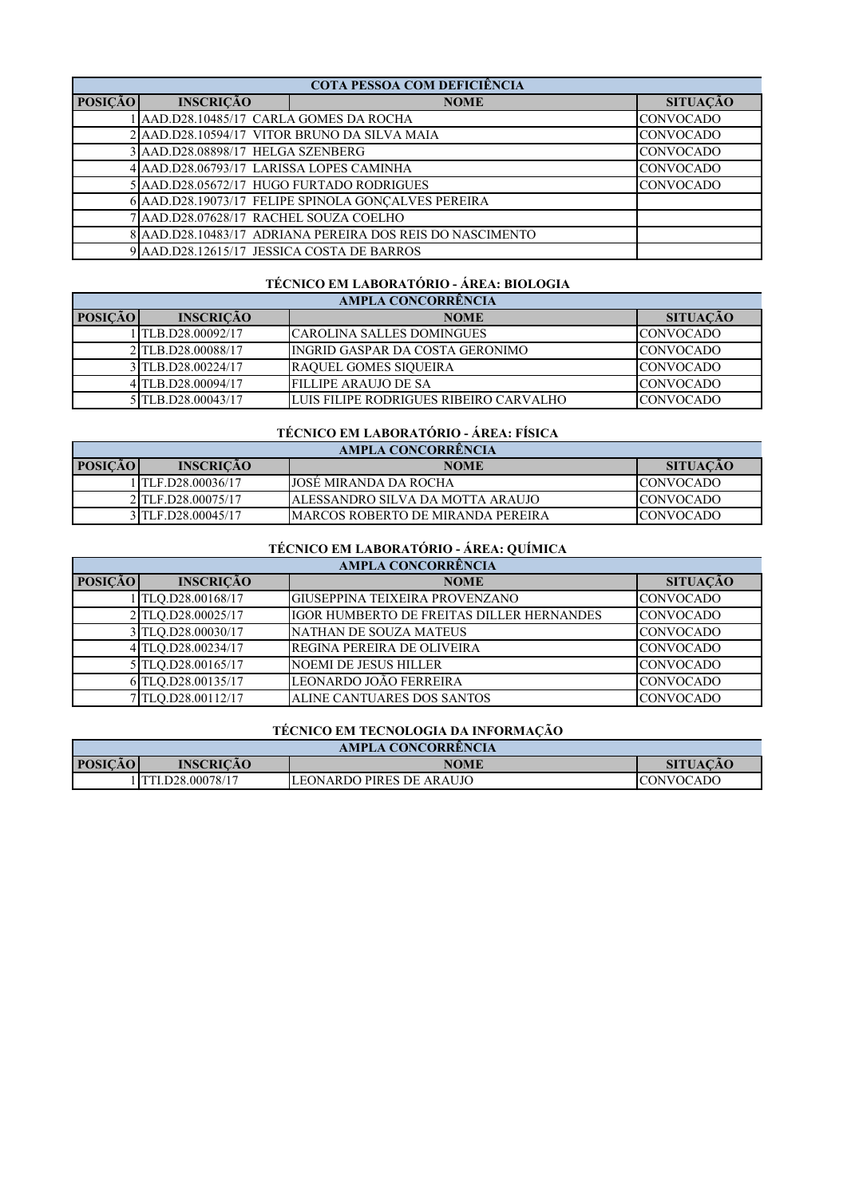| COTA PESSOA COM DEFICIÊNCIA |                                            |                                                           |                  |
|-----------------------------|--------------------------------------------|-----------------------------------------------------------|------------------|
| <b>POSIÇÃO</b>              | <b>INSCRIÇÃO</b>                           | <b>NOME</b>                                               | <b>SITUAÇÃO</b>  |
|                             | AAD.D28.10485/17 CARLA GOMES DA ROCHA      |                                                           | <b>CONVOCADO</b> |
|                             |                                            | 2 AAD.D28.10594/17 VITOR BRUNO DA SILVA MAIA              | <b>CONVOCADO</b> |
|                             | 3 AAD.D28.08898/17 HELGA SZENBERG          |                                                           | <b>CONVOCADO</b> |
|                             | 4 AAD.D28.06793/17 LARISSA LOPES CAMINHA   |                                                           | <b>CONVOCADO</b> |
|                             | 5 AAD.D28.05672/17 HUGO FURTADO RODRIGUES  |                                                           | <b>CONVOCADO</b> |
|                             |                                            | 6 AAD.D28.19073/17 FELIPE SPINOLA GONCALVES PEREIRA       |                  |
|                             | 7 AAD.D28.07628/17 RACHEL SOUZA COELHO     |                                                           |                  |
|                             |                                            | 8 AAD.D28.10483/17 ADRIANA PEREIRA DOS REIS DO NASCIMENTO |                  |
|                             | 9 AAD.D28.12615/17 JESSICA COSTA DE BARROS |                                                           |                  |

### **TÉCNICO EM LABORATÓRIO - ÁREA: BIOLOGIA**

| AMPLA CONCORRÊNCIA |                    |                                        |                  |
|--------------------|--------------------|----------------------------------------|------------------|
| <b>POSICÃO</b>     | <b>INSCRIÇÃO</b>   | <b>NOME</b>                            | <b>SITUAÇÃO</b>  |
|                    | TLB.D28.00092/17   | ICAROLINA SALLES DOMINGUES             | <b>CONVOCADO</b> |
|                    | 2 TLB.D28.00088/17 | INGRID GASPAR DA COSTA GERONIMO        | <b>CONVOCADO</b> |
|                    | 3 TLB.D28.00224/17 | <b>RAQUEL GOMES SIQUEIRA</b>           | <b>CONVOCADO</b> |
|                    | 4TLB.D28.00094/17  | <b>FILLIPE ARAUJO DE SA</b>            | <b>CONVOCADO</b> |
|                    | 5TLB.D28.00043/17  | LUIS FILIPE RODRIGUES RIBEIRO CARVALHO | <b>CONVOCADO</b> |

### **TÉCNICO EM LABORATÓRIO - ÁREA: FÍSICA**

| AMPLA CONCORRENCIA |                    |                                          |                  |  |
|--------------------|--------------------|------------------------------------------|------------------|--|
| <b>POSIÇÃO</b>     | <b>INSCRICÃO</b>   | <b>NOME</b>                              | <b>SITUACÃO</b>  |  |
|                    | TLF.D28.00036/17   | <b>JOSE MIRANDA DA ROCHA</b>             | <b>CONVOCADO</b> |  |
|                    | 2 TLF.D28.00075/17 | JALESSANDRO SILVA DA MOTTA ARAUJO        | ICONVOCADO.      |  |
|                    | 3 TLF.D28.00045/17 | <b>MARCOS ROBERTO DE MIRANDA PEREIRA</b> | <b>CONVOCADO</b> |  |

## **TÉCNICO EM LABORATÓRIO - ÁREA: QUÍMICA**

| AMPLA CONCORRÊNCIA |                    |                                           |                  |
|--------------------|--------------------|-------------------------------------------|------------------|
| <b>POSIÇÃO</b>     | <b>INSCRIÇÃO</b>   | <b>NOME</b>                               | <b>SITUAÇÃO</b>  |
|                    | TLO.D28.00168/17   | GIUSEPPINA TEIXEIRA PROVENZANO            | <b>CONVOCADO</b> |
|                    | 2 TLO.D28.00025/17 | IGOR HUMBERTO DE FREITAS DILLER HERNANDES | <b>CONVOCADO</b> |
|                    | 3 TLO.D28.00030/17 | NATHAN DE SOUZA MATEUS                    | <b>CONVOCADO</b> |
|                    | 4 TLQ.D28.00234/17 | REGINA PEREIRA DE OLIVEIRA                | <b>CONVOCADO</b> |
|                    | 5 TLO.D28.00165/17 | <b>NOEMI DE JESUS HILLER</b>              | <b>CONVOCADO</b> |
|                    | 6TLQ.D28.00135/17  | LEONARDO JOÃO FERREIRA                    | <b>CONVOCADO</b> |
|                    | 7 TLO.D28.00112/17 | ALINE CANTUARES DOS SANTOS                | <b>CONVOCADO</b> |

#### **TÉCNICO EM TECNOLOGIA DA INFORMAÇÃO**

| <b>AMPLA CONCORRENCIA</b>                                            |                  |                          |                  |
|----------------------------------------------------------------------|------------------|--------------------------|------------------|
| <b>POSICÃO</b><br><b>INSCRICAO</b><br><b>SITUACAO</b><br><b>NOME</b> |                  |                          |                  |
|                                                                      | TTI.D28.00078/17 | LEONARDO PIRES DE ARAUJO | <b>CONVOCADO</b> |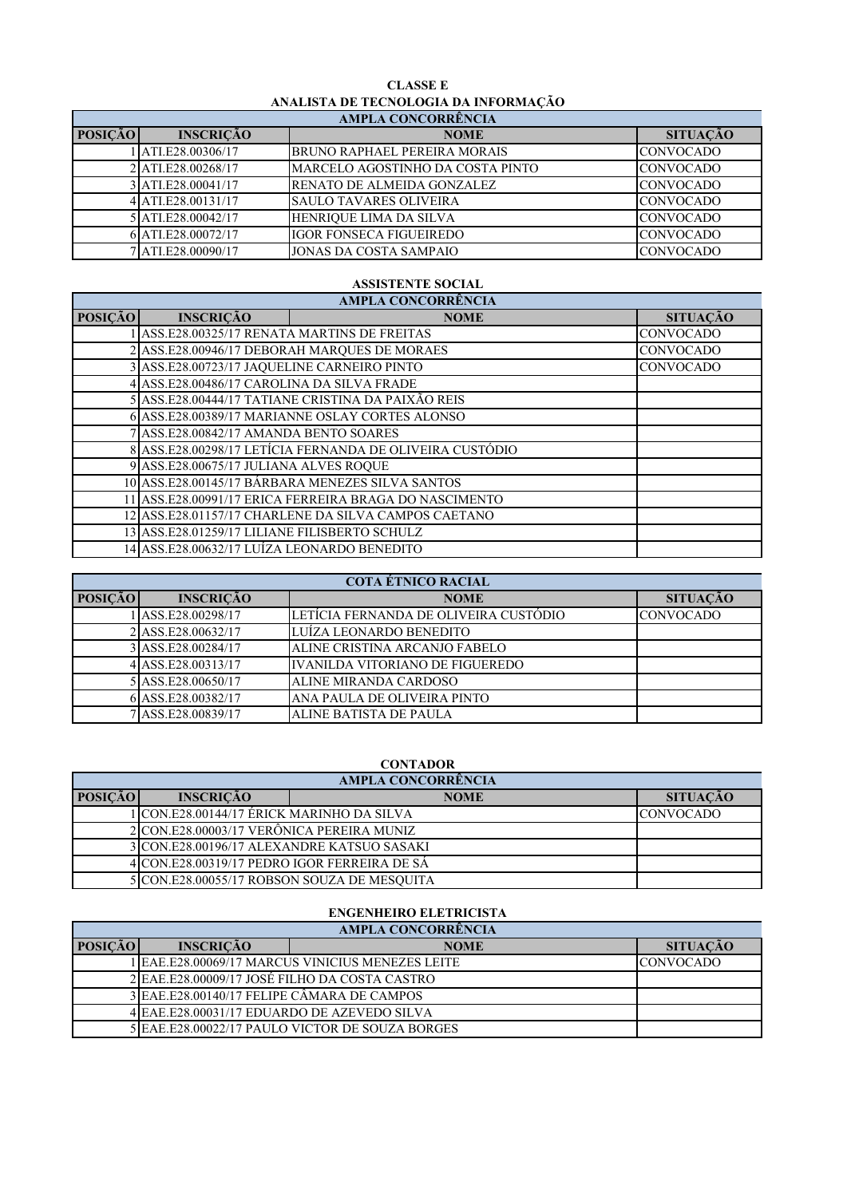## **CLASSE E ANALISTA DE TECNOLOGIA DA INFORMAÇÃO**

| <b>AMPLA CONCORRÊNCIA</b> |                    |                                     |                  |
|---------------------------|--------------------|-------------------------------------|------------------|
| <b>POSIÇÃO</b>            | <b>INSCRIÇÃO</b>   | <b>NOME</b>                         | <b>SITUAÇÃO</b>  |
|                           | ATI.E28.00306/17   | <b>BRUNO RAPHAEL PEREIRA MORAIS</b> | <b>CONVOCADO</b> |
|                           | 2 ATLE28.00268/17  | MARCELO AGOSTINHO DA COSTA PINTO    | <b>CONVOCADO</b> |
|                           | 3 ATLE28,00041/17  | RENATO DE ALMEIDA GONZALEZ          | <b>CONVOCADO</b> |
|                           | 4 ATLE28.00131/17  | <b>SAULO TAVARES OLIVEIRA</b>       | <b>CONVOCADO</b> |
|                           | 5 ATLE28.00042/17  | HENRIQUE LIMA DA SILVA              | <b>CONVOCADO</b> |
|                           | 6 ATI.E28.00072/17 | <b>IGOR FONSECA FIGUEIREDO</b>      | <b>CONVOCADO</b> |
|                           | ATI.E28.00090/17   | <b>JONAS DA COSTA SAMPAIO</b>       | <b>CONVOCADO</b> |

### **ASSISTENTE SOCIAL**

| <b>AMPLA CONCORRÊNCIA</b> |                                                          |                                                    |                  |  |  |
|---------------------------|----------------------------------------------------------|----------------------------------------------------|------------------|--|--|
| <b>POSIÇÃO</b>            | <b>INSCRIÇÃO</b>                                         | <b>NOME</b>                                        | <b>SITUAÇÃO</b>  |  |  |
|                           | ASS.E28.00325/17 RENATA MARTINS DE FREITAS               |                                                    | <b>CONVOCADO</b> |  |  |
|                           |                                                          | 2 ASS.E28.00946/17 DEBORAH MARQUES DE MORAES       | <b>CONVOCADO</b> |  |  |
|                           | 3 ASS.E28.00723/17 JAQUELINE CARNEIRO PINTO              |                                                    | <b>CONVOCADO</b> |  |  |
|                           | 4 ASS.E28.00486/17 CAROLINA DA SILVA FRADE               |                                                    |                  |  |  |
|                           |                                                          | 5 ASS.E28.00444/17 TATIANE CRISTINA DA PAIXÃO REIS |                  |  |  |
|                           | 6 ASS.E28.00389/17 MARIANNE OSLAY CORTES ALONSO          |                                                    |                  |  |  |
|                           | 7 ASS.E28.00842/17 AMANDA BENTO SOARES                   |                                                    |                  |  |  |
|                           | 8 ASS.E28.00298/17 LETÍCIA FERNANDA DE OLIVEIRA CUSTÓDIO |                                                    |                  |  |  |
|                           | 9 ASS.E28.00675/17 JULIANA ALVES ROQUE                   |                                                    |                  |  |  |
|                           | 10 ASS.E28.00145/17 BÁRBARA MENEZES SILVA SANTOS         |                                                    |                  |  |  |
|                           | 11 ASS.E28.00991/17 ERICA FERREIRA BRAGA DO NASCIMENTO   |                                                    |                  |  |  |
|                           | 12 ASS.E28.01157/17 CHARLENE DA SILVA CAMPOS CAETANO     |                                                    |                  |  |  |
|                           | 13 ASS.E28.01259/17 LILIANE FILISBERTO SCHULZ            |                                                    |                  |  |  |
|                           | 14 ASS.E28.00632/17 LUÍZA LEONARDO BENEDITO              |                                                    |                  |  |  |

| <b>COTA ÉTNICO RACIAL</b> |                    |                                        |                  |  |
|---------------------------|--------------------|----------------------------------------|------------------|--|
| <b>POSIÇÃO</b>            | <b>INSCRIÇÃO</b>   | <b>NOME</b>                            | <b>SITUAÇÃO</b>  |  |
|                           | ASS.E28.00298/17   | LETÍCIA FERNANDA DE OLIVEIRA CUSTÓDIO  | <b>CONVOCADO</b> |  |
|                           | 2 ASS.E28.00632/17 | LUÍZA LEONARDO BENEDITO                |                  |  |
|                           | 3 ASS.E28.00284/17 | ALINE CRISTINA ARCANJO FABELO          |                  |  |
|                           | 4 ASS.E28.00313/17 | <b>IVANILDA VITORIANO DE FIGUEREDO</b> |                  |  |
|                           | 5 ASS.E28.00650/17 | <b>ALINE MIRANDA CARDOSO</b>           |                  |  |
|                           | 6 ASS.E28.00382/17 | ANA PAULA DE OLIVEIRA PINTO            |                  |  |
|                           | 7 ASS.E28.00839/17 | ALINE BATISTA DE PAULA                 |                  |  |

#### **CONTADOR**

| <b>AMPLA CONCORRÊNCIA</b> |                                              |             |  |                  |  |
|---------------------------|----------------------------------------------|-------------|--|------------------|--|
| <b>POSICÃO</b>            | <b>INSCRICÃO</b>                             | <b>NOME</b> |  | <b>SITUAÇÃO</b>  |  |
|                           | l ICON.E28.00144/17 ÉRICK MARINHO DA SILVA   |             |  | <b>CONVOCADO</b> |  |
|                           | 2 CON.E28.00003/17 VERÔNICA PEREIRA MUNIZ    |             |  |                  |  |
|                           | 3 ICON.E28.00196/17 ALEXANDRE KATSUO SASAKI  |             |  |                  |  |
|                           | 4 CON.E28.00319/17 PEDRO IGOR FERREIRA DE SÁ |             |  |                  |  |
|                           | 5 CON.E28.00055/17 ROBSON SOUZA DE MESQUITA  |             |  |                  |  |

### **ENGENHEIRO ELETRICISTA**

| <b>AMPLA CONCORRÊNCIA</b>                   |                                               |                                                   |                  |  |  |
|---------------------------------------------|-----------------------------------------------|---------------------------------------------------|------------------|--|--|
| <b>POSICÃO</b>                              | <b>INSCRICÃO</b>                              | <b>NOME</b>                                       | <b>SITUAÇÃO</b>  |  |  |
|                                             |                                               | l IEAE.E28.00069/17 MARCUS VINICIUS MENEZES LEITE | <b>CONVOCADO</b> |  |  |
|                                             | 2 EAE.E28.00009/17 JOSÉ FILHO DA COSTA CASTRO |                                                   |                  |  |  |
| 3 EAE.E28.00140/17 FELIPE CÂMARA DE CAMPOS  |                                               |                                                   |                  |  |  |
| 4 EAE.E28,00031/17 EDUARDO DE AZEVEDO SILVA |                                               |                                                   |                  |  |  |
|                                             |                                               | 5 EAE.E28.00022/17 PAULO VICTOR DE SOUZA BORGES   |                  |  |  |